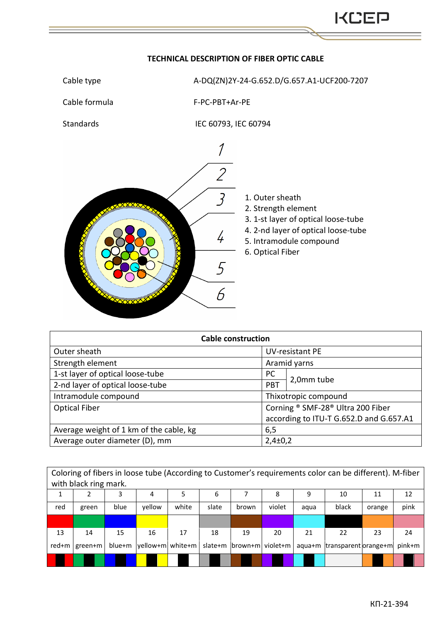## Cable type  $A-DQ(ZN)2Y-24-G.652.D/G.657.A1-UCF200-7207$ Cable formula F-PС-PBT+Ar-PE Standards IEC 60793, IEC 60794  $\overline{\mathcal{I}}$  $\overline{2}$  $\overline{3}$ 1. Outer sheath 2. Strength element 3. 1-st layer of optical loose-tube 4. 2-nd layer of optical loose-tube  $\frac{1}{4}$ 5. Intramodule compound 6. Optical Fiber 5  $\overline{b}$

| <b>Cable construction</b>               |                          |                                         |  |  |  |  |  |
|-----------------------------------------|--------------------------|-----------------------------------------|--|--|--|--|--|
| Outer sheath                            |                          | <b>UV-resistant PE</b>                  |  |  |  |  |  |
| Strength element                        |                          | Aramid yarns                            |  |  |  |  |  |
| 1-st layer of optical loose-tube        | <b>PC</b>                |                                         |  |  |  |  |  |
| 2-nd layer of optical loose-tube        | 2,0mm tube<br><b>PBT</b> |                                         |  |  |  |  |  |
| Intramodule compound                    |                          | Thixotropic compound                    |  |  |  |  |  |
| <b>Optical Fiber</b>                    |                          | Corning ® SMF-28® Ultra 200 Fiber       |  |  |  |  |  |
|                                         |                          | according to ITU-T G.652.D and G.657.A1 |  |  |  |  |  |
| Average weight of 1 km of the cable, kg | 6,5                      |                                         |  |  |  |  |  |
| Average outer diameter (D), mm          |                          | $2,4\pm0,2$                             |  |  |  |  |  |

| Coloring of fibers in loose tube (According to Customer's requirements color can be different). M-fiber<br>with black ring mark. |         |        |                  |       |         |                   |        |      |                             |        |        |
|----------------------------------------------------------------------------------------------------------------------------------|---------|--------|------------------|-------|---------|-------------------|--------|------|-----------------------------|--------|--------|
|                                                                                                                                  | 2       | 3      | 4                | 5     | 6       |                   | 8      | 9    | 10                          | 11     | 12     |
| red                                                                                                                              | green   | blue   | vellow           | white | slate   | brown             | violet | aqua | black                       | orange | pink   |
|                                                                                                                                  |         |        |                  |       |         |                   |        |      |                             |        |        |
| 13                                                                                                                               | 14      | 15     | 16               | 17    | 18      | 19                | 20     | 21   | 22                          | 23     | 24     |
| red+m                                                                                                                            | green+m | blue+m | yellow+m white+m |       | slate+m | brown+m  violet+m |        |      | aqua+m transparent orange+m |        | pink+m |
|                                                                                                                                  |         |        |                  |       |         |                   |        |      |                             |        |        |

## **TECHNICAL DESCRIPTION OF FIBER OPTIC CABLE**